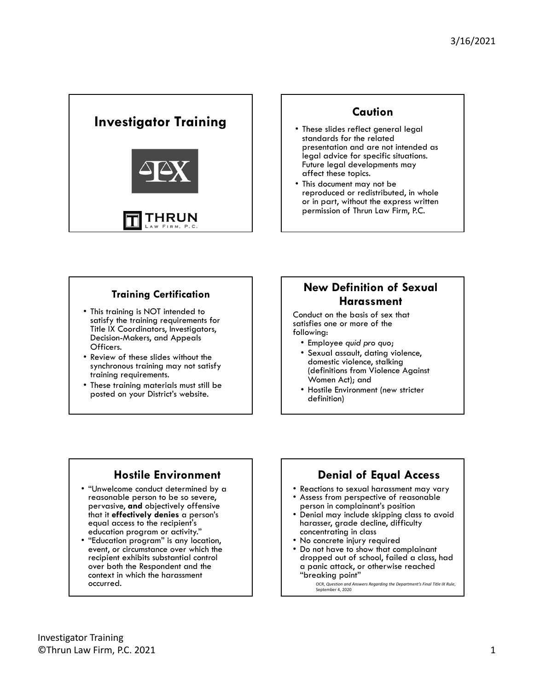

### **Caution**

- These slides reflect general legal standards for the related presentation and are not intended as legal advice for specific situations. Future legal developments may affect these topics.
- This document may not be reproduced or redistributed, in whole or in part, without the express written permission of Thrun Law Firm, P.C.

#### **Training Certification**

- This training is NOT intended to satisfy the training requirements for Title IX Coordinators, Investigators, Decision-Makers, and Appeals Officers.
- • Review of these slides without the synchronous training may not satisfy training requirements.
- These training materials must still be posted on your District's website.

### **New Definition of Sexual Harassment**

Conduct on the basis of sex that satisfies one or more of the following:

- Employee *quid pro quo*;
- Sexual assault, dating violence, domestic violence, stalking (definitions from Violence Against Women Act); and
- Hostile Environment (new stricter definition)

### **Hostile Environment**

- "Unwelcome conduct determined by a reasonable person to be so severe, pervasive, **and** objectively offensive that it **effectively denies** a person's equal access to the recipient's education program or activity."
- "Education program" is any location, event, or circumstance over which the recipient exhibits substantial control over both the Respondent and the context in which the harassment occurred.

### **Denial of Equal Access**

- Reactions to sexual harassment may vary
- Assess from perspective of reasonable person in complainant's position
- Denial may include skipping class to avoid harasser, grade decline, difficulty concentrating in class
- No concrete injury required
- Do not have to show that complainant dropped out of school, failed a class, had a panic attack, or otherwise reached "breaking point"

 OCR, *Question and Answers Regarding the Department's Final Title IX Rule*, September 4, 2020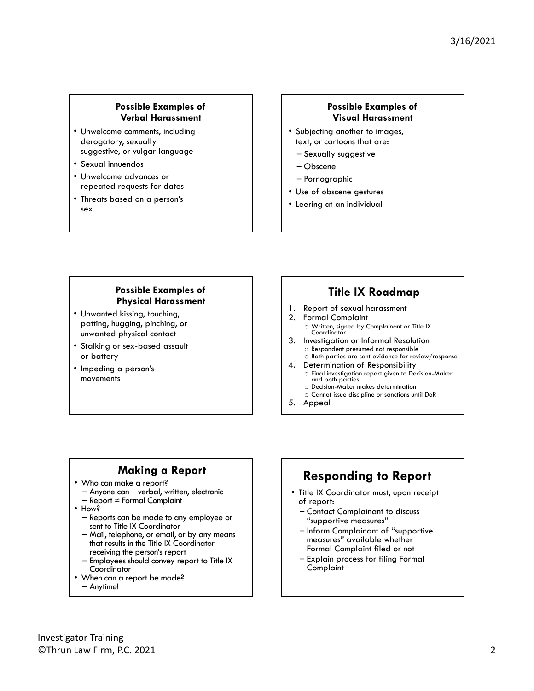#### **Possible Examples of Verbal Harassment**

- Unwelcome comments, including derogatory, sexually suggestive, or vulgar language
- Sexual innuendos
- Unwelcome advances or repeated requests for dates
- Threats based on a person's sex

### **Possible Examples of Visual Harassment**

- Subjecting another to images, text, or cartoons that are:
	- Sexually suggestive
	- Obscene
	- Pornographic
- Use of obscene gestures
- Leering at an individual

#### **Possible Examples of Physical Harassment**

- Unwanted kissing, touching, patting, hugging, pinching, or unwanted physical contact
- Stalking or sex-based assault or battery
- Impeding a person's movements

### **Title IX Roadmap**

- 1. Report of sexual harassment
- 2. Formal Complaint o Written, signed by Complainant or Title IX Coordinator
- 3. Investigation or Informal Resolution o Respondent presumed not responsible o Both parties are sent evidence for review/response
- 4. Determination of Responsibility o Final investigation report given to Decision-Maker and both parties
	- o Decision-Maker makes determination
	- o Cannot issue discipline or sanctions until DoR
- 5. Appeal

### **Making a Report**

- Who can make a report?
	- Anyone can verbal, written, electronic
- Report  $\neq$  Formal Complaint<br>• How?
- - Reports can be made to any employee or sent to Title IX Coordinator
	- Mail, telephone, or email, or by any means that results in the Title IX Coordinator receiving the person's report
	- Employees should convey report to Title IX
- When can a report be made? – Anytime!

# **Responding to Report**

- Title IX Coordinator must, upon receipt of report:
	- Contact Complainant to discuss "supportive measures"
	- Inform Complainant of "supportive measures" available whether Formal Complaint filed or not
	- Explain process for filing Formal Complaint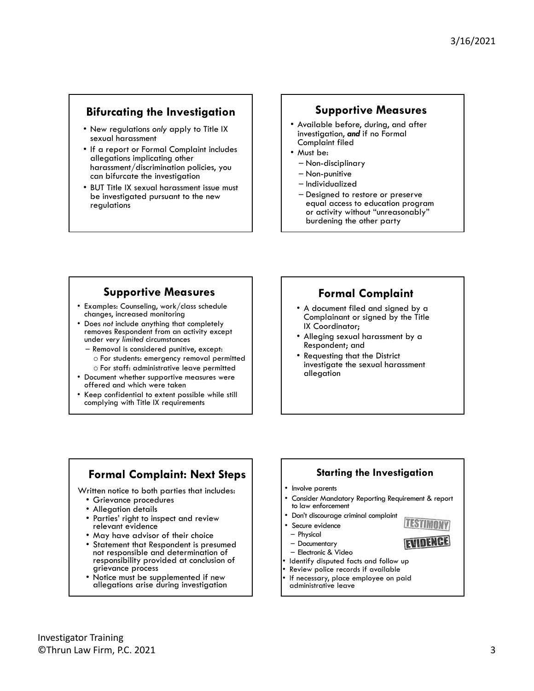### **Bifurcating the Investigation**

- New regulations *only* apply to Title IX sexual harassment
- If a report or Formal Complaint includes allegations implicating other harassment/discrimination policies, you can bifurcate the investigation
- BUT Title IX sexual harassment issue must be investigated pursuant to the new regulations

### **Supportive Measures**

- Available before, during, and after investigation, *and* if no Formal Complaint filed
- Must be:
	- Non-disciplinary
	- Non-punitive
	- Individualized
	- Designed to restore or preserve equal access to education program or activity without "unreasonably" burdening the other party

### **Supportive Measures**

- • Examples: Counseling, work/class schedule changes, increased monitoring
- • Does *not* include anything that completely removes Respondent from an activity except under *very limited* circumstances
	- Removal is considered punitive, except:
		- o For students: emergency removal permitted
		- o For staff: administrative leave permitted
- • Document whether supportive measures were offered and which were taken
- • Keep confidential to extent possible while still complying with Title IX requirements

### **Formal Complaint**

- A document filed and signed by a Complainant or signed by the Title IX Coordinator;
- Alleging sexual harassment by a Respondent; and
- Requesting that the District investigate the sexual harassment allegation

### **Formal Complaint: Next Steps**

Written notice to both parties that includes:

- Grievance procedures
- Allegation details
- Parties' right to inspect and review relevant evidence j
- May have advisor of their choice
- Statement that Respondent is presumed not responsible and determination of responsibility provided at conclusion of grievance process
- Notice must be supplemented if new allegations arise during investigation

#### **Starting the Investigation**

#### • Involve parents

• Consider Mandatory Reporting Requirement & report to law enforcement

EVIDENCE

- • Don't discourage criminal complaint
- • Secure evidence
- Physical
- Documentary
- Electronic & Video
- Identify disputed facts and follow up
- Review police records if available
- • If necessary, place employee on paid administrative leave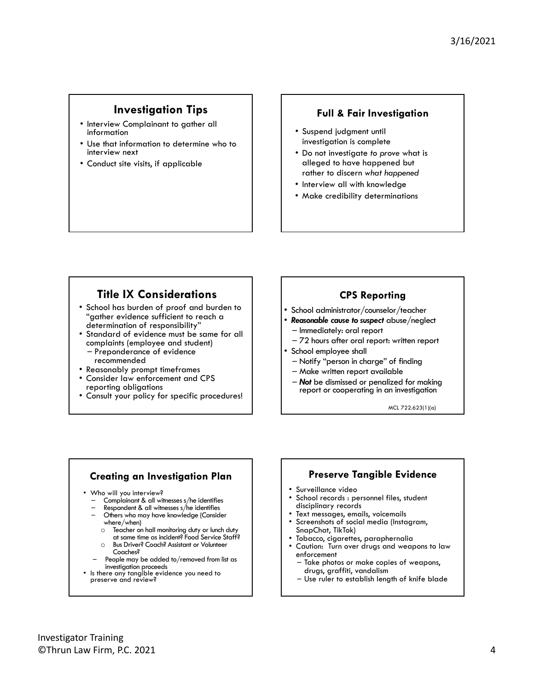### **Investigation Tips**

- Interview Complainant to gather all information
- Use that information to determine who to interview next
- Conduct site visits, if applicable

#### **Full & Fair Investigation**

- Suspend judgment until investigation is complete
- Do not investigate *to prove* what is alleged to have happened but rather to discern *what happened*
- Interview all with knowledge
- Make credibility determinations

### **Title IX Considerations**

- School has burden of proof and burden to "gather evidence sufficient to reach a determination of responsibility"
- Standard of evidence must be same for all complaints (employee and student) – Preponderance of evidence recommended
- Reasonably prompt timeframes
- Consider law enforcement and CPS reporting obligations
- Consult your policy for specific procedures!

#### **CPS Reporting**

- School administrator/counselor/teacher
- *Reasonable cause to suspect* abuse/neglect – Immediately: oral report
- 72 hours after oral report: written report
- School employee shall
	- Notify "person in charge" of finding
	- Make written report available
	- *Not* be dismissed or penalized for making report or cooperating in an investigation

MCL 722.623(1)(a)

#### **Creating an Investigation Plan**

- 
- Who will you interview?<br>- Complainant & all witnesses s/he identifies
	- Respondent & all witnesses s/he identifies<br>Others who may have knowledge (Consider
	- where/when)
		- $\circ$  Teacher on hall monitoring duty or lunch duty at same time as incident? Food Service Staff?
		- o Bus Driver? Coach? Assistant or Volunteer
	- People may be added to/removed from list as<br>investigation proceeds
- Is there any tangible evidence you need to preserve and review?

#### **Preserve Tangible Evidence**

- • Surveillance video
- School records : personnel files, student disciplinary records
- Text messages, emails, voicemails
- Screenshots of social media (Instagram, SnapChat, TikTok)
- Tobacco, cigarettes, paraphernalia
- Caution: Turn over drugs and weapons to law enforcement
- Take photos or make copies of weapons, drugs, graffiti, vandalism
- Use ruler to establish length of knife blade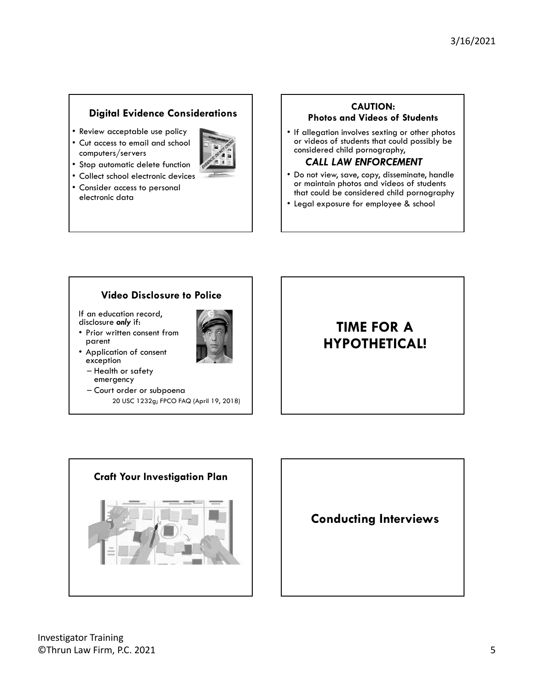### **Digital Evidence Considerations**

- Review acceptable use policy
- Cut access to email and school computers/servers



- Stop automatic delete function
- Collect school electronic devices
- Consider access to personal electronic data

#### **CAUTION:**

**Photos and Videos of Students** 

• If allegation involves sexting or other photos or videos of students that could possibly be considered child pornography,

### *CALL LAW ENFORCEMENT*

- Do not view, save, copy, disseminate, handle or maintain photos and videos of students that could be considered child pornography
- Legal exposure for employee & school

### **Video Disclosure to Police**

If an education record, disclosure *only* if:

• Prior written consent from parent • Application of consent



- exception – Health or safety emergency
- Court order or subpoena 20 USC 1232g; FPCO FAQ (April 19, 2018)

# **TIME FOR A HYPOTHETICAL!**



**Conducting Interviews**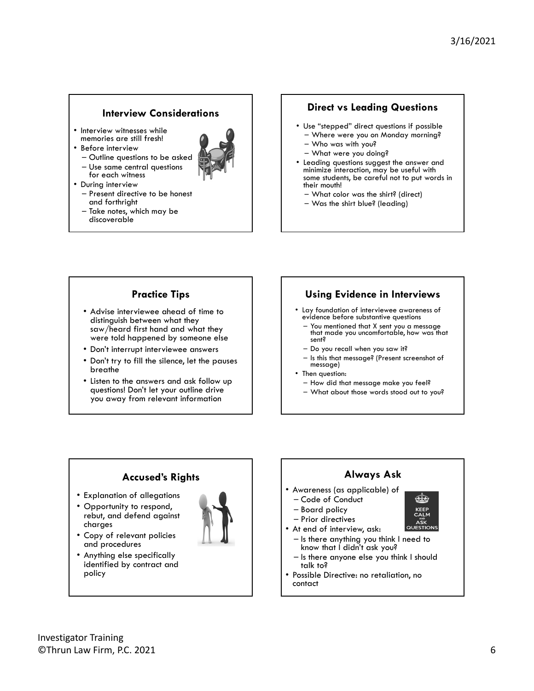#### **Interview Considerations**

- Interview witnesses while memories are still fresh!
- Before interview

• During interview

- Outline questions to be asked
- Use same central questions for each witness



- Present directive to be honest and forthright
- Take notes, which may be discoverable

#### **Direct vs Leading Questions**

- • Use "stepped" direct questions if possible – Where were you on Monday morning?
	- Who was with you?
	- What were you doing?
- • Leading questions suggest the answer and minimize interaction, may be useful with some students, be careful not to put words in their mouth!
	- What color was the shirt? (direct)
	- Was the shirt blue? (leading)

#### **Practice Tips**

- Advise interviewee ahead of time to distinguish between what they saw/heard first hand and what they were told happened by someone else
- Don't interrupt interviewee answers
- Don't try to fill the silence, let the pauses breathe
- Listen to the answers and ask follow up questions! Don't let your outline drive you away from relevant information

#### **Using Evidence in Interviews**

- • Lay foundation of interviewee awareness of evidence before substantive questions
	- You mentioned that X sent you a message that made you uncomfortable, how was that sent?
	- Do you recall when you saw it?
	- Is this that message? (Present screenshot of message)
- Then question:
- How did that message make you feel?
- What about those words stood out to you?

### **Accused's Rights**

- Explanation of allegations
- Opportunity to respond, rebut, and defend against charges
- Copy of relevant policies and procedures
- Anything else specifically identified by contract and policy



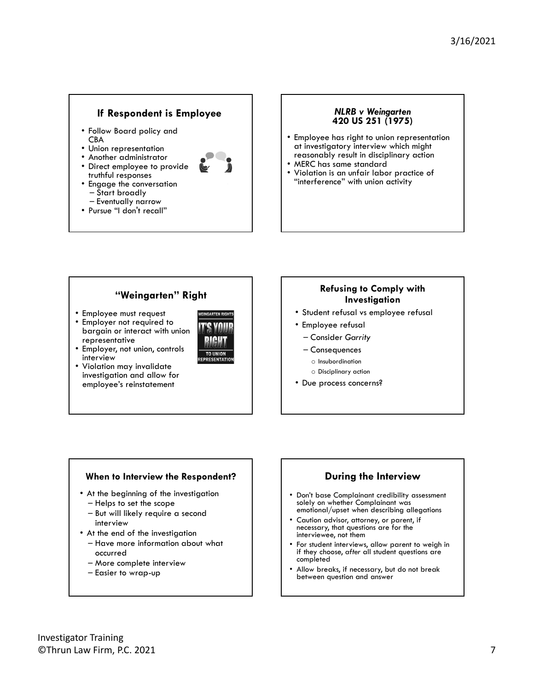#### **If Respondent is Employee**

- Follow Board policy and CBA
- Union representation
- Another administrator
- Direct employee to provide truthful responses



- Engage the conversation – Start broadly
- Pursue "I don't recall"

#### *NLRB v Weingarten* **420 US 251 (1975)**

- Employee has right to union representation at investigatory interview which might reasonably result in disciplinary action
- MERC has same standard
- Violation is an unfair labor practice of "interference" with union activity

#### **"Weingarten" Right**

- Employee must request
- Employer not required to bargain or interact with union representative
- Employer, not union, controls interview
- Violation may invalidate investigation and allow for employee's reinstatement



#### **Refusing to Comply with Investigation**

- Student refusal vs employee refusal
- Employee refusal
	- Consider *Garrity*
	- Consequences
	- o Insubordination
	- o Disciplinary action
- Due process concerns?

#### **When to Interview the Respondent?**

- At the beginning of the investigation
	- Helps to set the scope
	- But will likely require a second interview
- At the end of the investigation – Have more information about what
	- occurred
	- More complete interview
	- Easier to wrap-up

#### **During the Interview**

- Don't base Complainant credibility assessment solely on whether Complainant was emotional/upset when describing allegations
- Caution advisor, attorney, or parent, if necessary, that questions are for the interviewee, not them
- if they choose, *after* all student questions are For student interviews, allow parent to weigh in completed
- Allow breaks, if necessary, but do not break between question and answer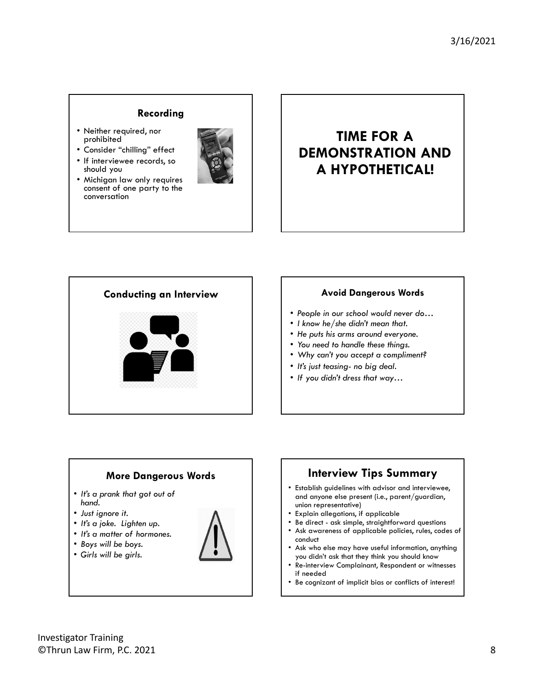#### **Recording**

- Neither required, nor prohibited
- Consider "chilling" effect
- If interviewee records, so should you







- *People in our school would never do…*
- *I know he/she didn't mean that.*
- *He puts his arms around everyone.*
- *You need to handle these things.*
- *Why can't you accept a compliment?*
- *It's just teasing- no big deal.*
- *If you didn't dress that way…*





- Ask awareness of applicable policies, rules, codes of conduct
- Ask who else may have useful information, anything you didn't ask that they think you should know
- Re-interview Complainant, Respondent or witnesses if needed
- Be cognizant of implicit bias or conflicts of interest!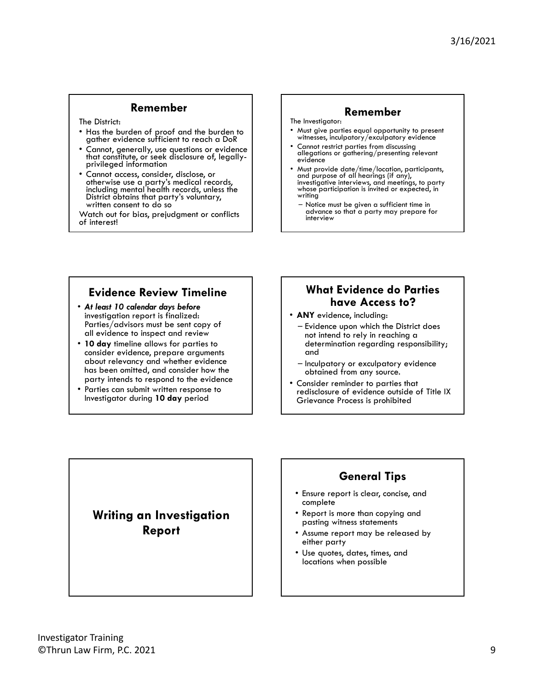#### **Remember**

The District:

- Has the burden of proof and the burden to gather evidence sufficient to reach a DoR
- Cannot, generally, use questions or evidence that constitute, or seek disclosure of, legallyprivileged information
- Cannot access, consider, disclose, or otherwise use a party's medical records, including mental health records, unless the District obtains that party's voluntary, written consent to do so

Watch out for bias, prejudgment or conflicts of interest!

#### **Remember**

- The Investigator:
- Must give parties equal opportunity to present witnesses, inculpatory/exculpatory evidence
- Cannot restrict parties from discussing allegations or gathering/presenting relevant evidence
- Must provide date/time/location, participants, and purpose of all hearings (if any), investigative interviews, and meetings, to party whose participation is invited or expected, in writing
	- Notice must be given a sufficient time in advance so that a party may prepare for interview

### **Evidence Review Timeline**

- Parties/advisors must be sent copy of • *At least 10 calendar days before*  investigation report is finalized: all evidence to inspect and review
- **10 day** timeline allows for parties to consider evidence, prepare arguments about relevancy and whether evidence has been omitted, and consider how the party intends to respond to the evidence
- Parties can submit written response to Investigator during **10 day** period

### **What Evidence do Parties have Access to?**

- **ANY** evidence, including:
	- Evidence upon which the District does not intend to rely in reaching a determination regarding responsibility; and
	- Inculpatory or exculpatory evidence obtained from any source.
- Consider reminder to parties that redisclosure of evidence outside of Title IX Grievance Process is prohibited

### **Writing an Investigation Report**

## **General Tips**

- Ensure report is clear, concise, and complete
- Report is more than copying and pasting witness statements
- Assume report may be released by either party
- Use quotes, dates, times, and locations when possible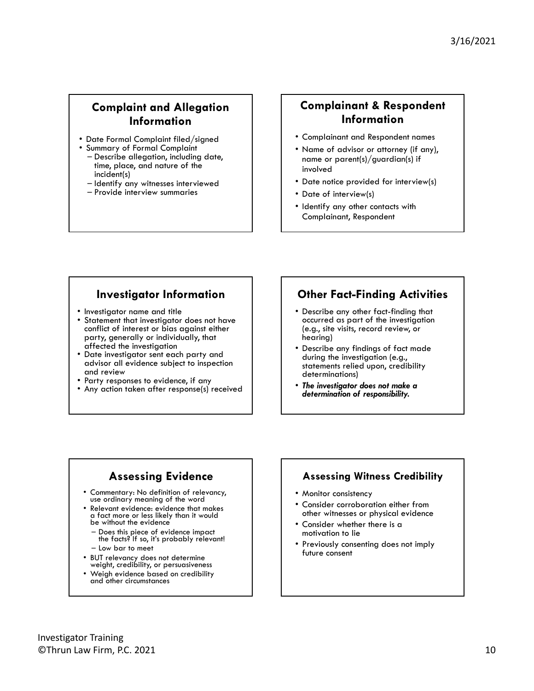### **Complaint and Allegation Information**

- Date Formal Complaint filed/signed
- Summary of Formal Complaint – Describe allegation, including date, time, place, and nature of the
	- incident(s) – Identify any witnesses interviewed
	- Provide interview summaries

### **Complainant & Respondent Information**

- Complainant and Respondent names
- • Name of advisor or attorney (if any), name or parent(s)/guardian(s) if involved
- Date notice provided for interview(s)
- Date of interview(s)
- Identify any other contacts with Complainant, Respondent

### **Investigator Information**

- Investigator name and title
- Statement that investigator does not have conflict of interest or bias against either party, generally or individually, that affected the investigation
- Date investigator sent each party and advisor all evidence subject to inspection and review
- Party responses to evidence, if any
- Any action taken after response(s) received

### **Other Fact-Finding Activities**

- Describe any other fact-finding that occurred as part of the investigation (e.g., site visits, record review, or hearing)
- Describe any findings of fact made during the investigation (e.g., statements relied upon, credibility determinations)
- *The investigator does not make a determination of responsibility.*

### **Assessing Evidence**

- • Commentary: No definition of relevancy, use ordinary meaning of the word
- Relevant evidence: evidence that makes a fact more or less likely than it would be without the evidence
	- Does this piece of evidence impact the facts? If so, it's probably relevant! – Low bar to meet
	-
- BUT relevancy does not determine weight, credibility, or persuasiveness
- Weigh evidence based on credibility and other circumstances

### **Assessing Witness Credibility**

- Monitor consistency
- Consider corroboration either from other witnesses or physical evidence
- Consider whether there is a motivation to lie
- Previously consenting does not imply future consent